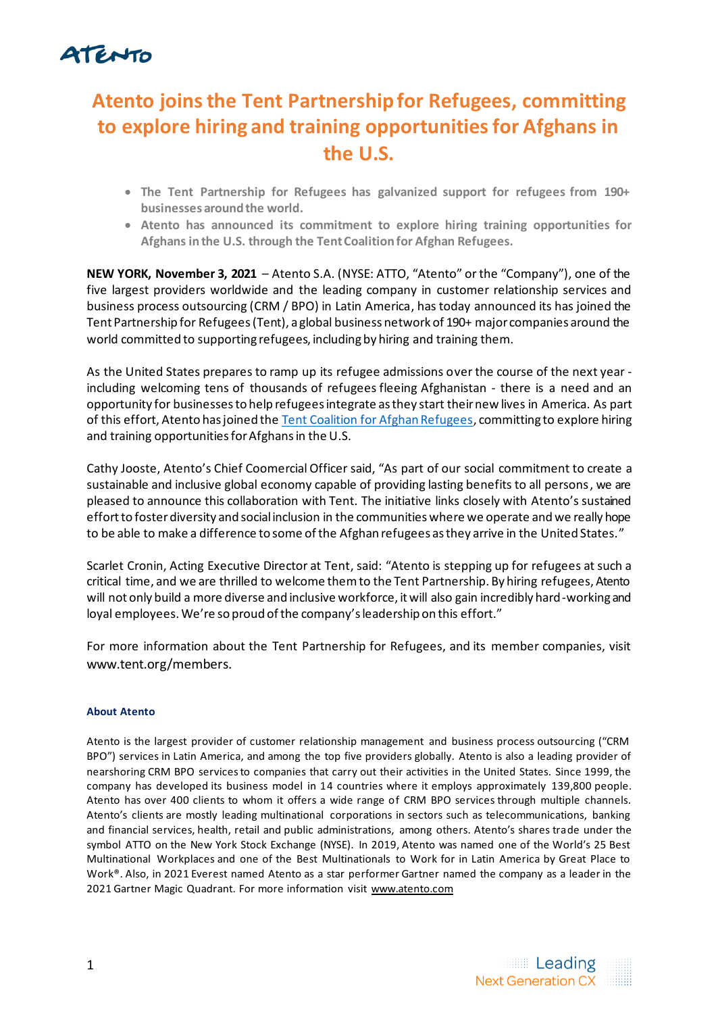## ATENTO

## **Atento joins the Tent Partnership for Refugees, committing to explore hiring and training opportunities for Afghans in the U.S.**

- **The Tent Partnership for Refugees has galvanized support for refugees from 190+ businesses around the world.**
- **Atento has announced its commitment to explore hiring training opportunities for Afghans in the U.S. through the Tent Coalition for Afghan Refugees.**

**NEW YORK, November 3, 2021** – Atento S.A. (NYSE: ATTO, "Atento" or the "Company"), one of the five largest providers worldwide and the leading company in customer relationship services and business process outsourcing (CRM / BPO) in Latin America, has today announced its has joined the Tent Partnership for Refugees (Tent), a global business network of 190+ major companies around the world committed to supporting refugees, including by hiring and training them.

As the United States prepares to ramp up its refugee admissions over the course of the next year including welcoming tens of thousands of refugees fleeing Afghanistan - there is a need and an opportunity for businesses to help refugees integrate as they start their new lives in America. As part of this effort, Atento has joined the [Tent Coalition for Afghan Refugees](https://www.tent.org/coalition-for-afghan-refugees/), committing to explore hiring and training opportunities for Afghans in the U.S.

Cathy Jooste, Atento's Chief Coomercial Officer said, "As part of our social commitment to create a sustainable and inclusive global economy capable of providing lasting benefits to all persons, we are pleased to announce this collaboration with Tent. The initiative links closely with Atento's sustained effort to foster diversity and social inclusion in the communities where we operate and we really hope to be able to make a difference to some of the Afghan refugees as they arrive in the United States."

Scarlet Cronin, Acting Executive Director at Tent, said: "Atento is stepping up for refugees at such a critical time, and we are thrilled to welcome them to the Tent Partnership. By hiring refugees, Atento will not only build a more diverse and inclusive workforce, it will also gain incredibly hard-working and loyal employees. We're so proud of the company's leadership on this effort."

For more information about the Tent Partnership for Refugees, and its member companies, visit [www.tent.org/members.](http://www.tent.org/members.)

## **About Atento**

Atento is the largest provider of customer relationship management and business process outsourcing ("CRM BPO") services in Latin America, and among the top five providers globally. Atento is also a leading provider of nearshoring CRM BPO services to companies that carry out their activities in the United States. Since 1999, the company has developed its business model in 14 countries where it employs approximately 139,800 people. Atento has over 400 clients to whom it offers a wide range of CRM BPO services through multiple channels. Atento's clients are mostly leading multinational corporations in sectors such as telecommunications, banking and financial services, health, retail and public administrations, among others. Atento's shares trade under the symbol ATTO on the New York Stock Exchange (NYSE). In 2019, Atento was named one of the World's 25 Best Multinational Workplaces and one of the Best Multinationals to Work for in Latin America by Great Place to Work®. Also, in 2021 Everest named Atento as a star performer Gartner named the company as a leader in the 2021 Gartner Magic Quadrant. For more information visit [www.atento.com](http://www.atento.com/)